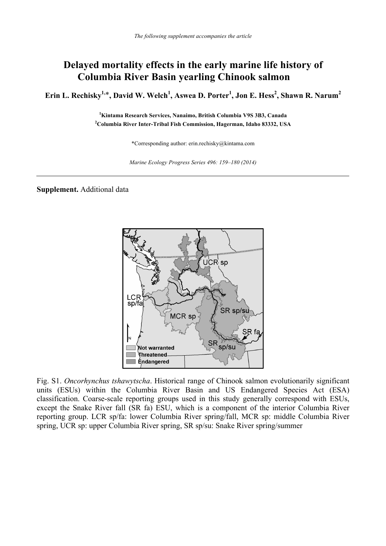## **Delayed mortality effects in the early marine life history of Columbia River Basin yearling Chinook salmon**

 $\boldsymbol{\mathrm{E}}$ rin L. Rechisky $^{1,*}$ , David W. Welch $^{1}$ , Aswea D. Porter $^{1}$ , Jon E. Hess $^{2}$ , Shawn R. Narum $^{2}$ 

**1 Kintama Research Services, Nanaimo, British Columbia V9S 3B3, Canada 2 Columbia River Inter-Tribal Fish Commission, Hagerman, Idaho 83332, USA** 

\*Corresponding author: erin.rechisky@kintama.com

*Marine Ecology Progress Series 496: 159–180 (2014)*

**Supplement.** Additional data



Fig. S1. *Oncorhynchus tshawytscha*. Historical range of Chinook salmon evolutionarily significant units (ESUs) within the Columbia River Basin and US Endangered Species Act (ESA) classification. Coarse-scale reporting groups used in this study generally correspond with ESUs, except the Snake River fall (SR fa) ESU, which is a component of the interior Columbia River reporting group. LCR sp/fa: lower Columbia River spring/fall, MCR sp: middle Columbia River spring, UCR sp: upper Columbia River spring, SR sp/su: Snake River spring/summer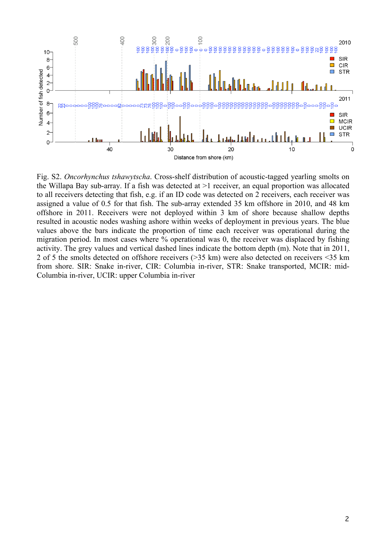

Fig. S2. *Oncorhynchus tshawytscha*. Cross-shelf distribution of acoustic-tagged yearling smolts on the Willapa Bay sub-array. If a fish was detected at >1 receiver, an equal proportion was allocated to all receivers detecting that fish, e.g. if an ID code was detected on 2 receivers, each receiver was assigned a value of 0.5 for that fish. The sub-array extended 35 km offshore in 2010, and 48 km offshore in 2011. Receivers were not deployed within 3 km of shore because shallow depths resulted in acoustic nodes washing ashore within weeks of deployment in previous years. The blue values above the bars indicate the proportion of time each receiver was operational during the migration period. In most cases where % operational was 0, the receiver was displaced by fishing activity. The grey values and vertical dashed lines indicate the bottom depth (m). Note that in 2011, 2 of 5 the smolts detected on offshore receivers (>35 km) were also detected on receivers <35 km from shore. SIR: Snake in-river, CIR: Columbia in-river, STR: Snake transported, MCIR: mid-Columbia in-river, UCIR: upper Columbia in-river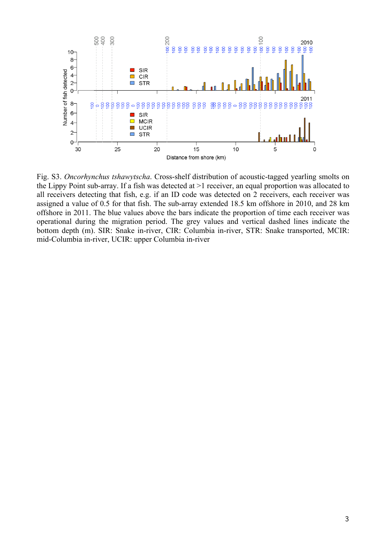

Fig. S3. *Oncorhynchus tshawytscha*. Cross-shelf distribution of acoustic-tagged yearling smolts on the Lippy Point sub-array. If a fish was detected at >1 receiver, an equal proportion was allocated to all receivers detecting that fish, e.g. if an ID code was detected on 2 receivers, each receiver was assigned a value of 0.5 for that fish. The sub-array extended 18.5 km offshore in 2010, and 28 km offshore in 2011. The blue values above the bars indicate the proportion of time each receiver was operational during the migration period. The grey values and vertical dashed lines indicate the bottom depth (m). SIR: Snake in-river, CIR: Columbia in-river, STR: Snake transported, MCIR: mid-Columbia in-river, UCIR: upper Columbia in-river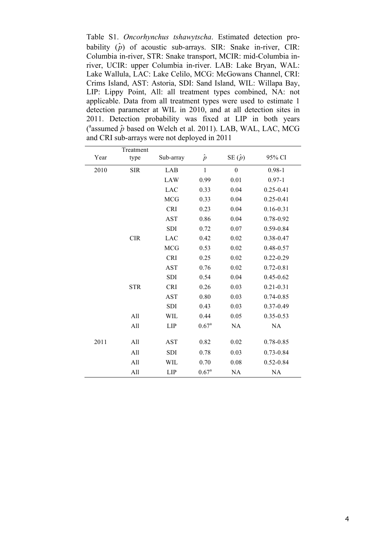Table S1. *Oncorhynchus tshawytscha*. Estimated detection probability  $(\hat{p})$  of acoustic sub-arrays. SIR: Snake in-river, CIR: Columbia in-river, STR: Snake transport, MCIR: mid-Columbia inriver, UCIR: upper Columbia in-river. LAB: Lake Bryan, WAL: Lake Wallula, LAC: Lake Celilo, MCG: McGowans Channel, CRI: Crims Island, AST: Astoria, SDI: Sand Island, WIL: Willapa Bay, LIP: Lippy Point, All: all treatment types combined, NA: not applicable. Data from all treatment types were used to estimate 1 detection parameter at WIL in 2010, and at all detection sites in 2011. Detection probability was fixed at LIP in both years  $(^{a}$ assumed  $\hat{p}$  based on Welch et al. 2011). LAB, WAL, LAC, MCG and CRI sub-arrays were not deployed in 2011

|      | Treatment  |            |                |                  |               |  |  |
|------|------------|------------|----------------|------------------|---------------|--|--|
| Year | type       | Sub-array  | $\hat{p}$      | SE $(\hat{p})$   | 95% CI        |  |  |
| 2010 | <b>SIR</b> | LAB        | $\mathbf{1}$   | $\boldsymbol{0}$ | $0.98 - 1$    |  |  |
|      |            | LAW        | 0.99           | 0.01             | $0.97 - 1$    |  |  |
|      |            | <b>LAC</b> | 0.33           | 0.04             | $0.25 - 0.41$ |  |  |
|      |            | <b>MCG</b> | 0.33           | 0.04             | $0.25 - 0.41$ |  |  |
|      |            | <b>CRI</b> | 0.23           | 0.04             | $0.16 - 0.31$ |  |  |
|      |            | <b>AST</b> | 0.86           | 0.04             | $0.78 - 0.92$ |  |  |
|      |            | <b>SDI</b> | 0.72           | 0.07             | $0.59 - 0.84$ |  |  |
|      | <b>CIR</b> | <b>LAC</b> | 0.42           | 0.02             | $0.38 - 0.47$ |  |  |
|      |            | <b>MCG</b> | 0.53           | 0.02             | $0.48 - 0.57$ |  |  |
|      |            | <b>CRI</b> | 0.25           | 0.02             | $0.22 - 0.29$ |  |  |
|      |            | <b>AST</b> | 0.76           | 0.02             | $0.72 - 0.81$ |  |  |
|      |            | SDI        | 0.54           | 0.04             | $0.45 - 0.62$ |  |  |
|      | <b>STR</b> | <b>CRI</b> | 0.26           | 0.03             | $0.21 - 0.31$ |  |  |
|      |            | <b>AST</b> | 0.80           | 0.03             | $0.74 - 0.85$ |  |  |
|      |            | SDI        | 0.43           | 0.03             | $0.37 - 0.49$ |  |  |
|      | All        | WIL        | 0.44           | 0.05             | $0.35 - 0.53$ |  |  |
|      | All        | <b>LIP</b> | $0.67^{\rm a}$ | NA               | NA            |  |  |
|      |            |            |                |                  |               |  |  |
| 2011 | All        | <b>AST</b> | 0.82           | 0.02             | 0.78-0.85     |  |  |
|      | All        | <b>SDI</b> | 0.78           | 0.03             | $0.73 - 0.84$ |  |  |
|      | All        | WIL        | 0.70           | 0.08             | $0.52 - 0.84$ |  |  |
|      | All        | <b>LIP</b> | $0.67^{\rm a}$ | NA               | NA            |  |  |